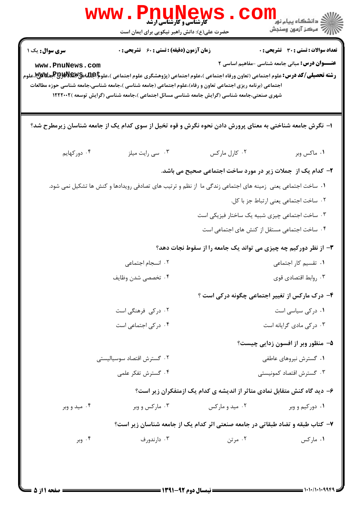$\equiv 1.1.11.1.991$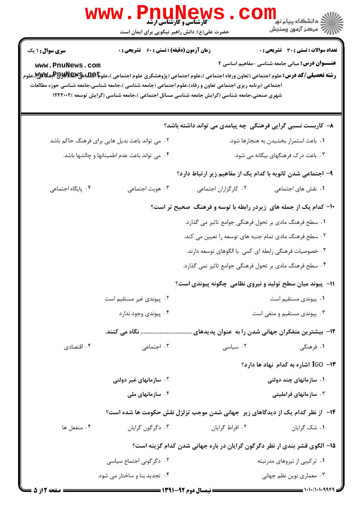|                                                                                                                                                                                               | www.Pn<br><b>گارشناسی و کارشناسی ارشد</b><br>حضرت علی(ع): دانش راهبر نیکویی برای ایمان است |                                                                                                                                                                                                            | رد دانشڪاه پيام نور ■<br>  <i> &gt;</i><br>  مرکز آزمون وسنڊش                                          |  |  |
|-----------------------------------------------------------------------------------------------------------------------------------------------------------------------------------------------|--------------------------------------------------------------------------------------------|------------------------------------------------------------------------------------------------------------------------------------------------------------------------------------------------------------|--------------------------------------------------------------------------------------------------------|--|--|
| <b>سری سوال :</b> ۱ یک<br>www.PnuNews.com<br><b>رشته تحصیلی/کد درس:</b> علوم اجتماعی (تعاون ورفاه اجتماعی )،علوم اجتماعی (پژوهشگری علوم اجتماعی )،علو <b>م REW&amp;R وRBپشی الیم میلی</b> هوم | <b>زمان آزمون (دقیقه) : تستی : 60 ٪ تشریحی : 0</b>                                         | اجتماعی (برنامه ریزی اجتماعی تعاون و رفاه)،علوم اجتماعی (جامعه شناسی )،جامعه شناسی،جامعه شناسی حوزه مطالعات<br>شهری صنعتی،جامعه شناسی (گرایش جامعه شناسی مسائل اجتماعی )،جامعه شناسی (گرایش توسعه )۱۲۲۲۰۰۲ | <b>تعداد سوالات : تستی : 30 ٪ تشریحی : 0</b><br><b>عنـــوان درس:</b> مبانی جامعه شناسی -مفاهیم اساسی ۲ |  |  |
|                                                                                                                                                                                               |                                                                                            | ۸– کاربست نسبی گرایی فرهنگی چه پیامدی می تواند داشته باشد؟                                                                                                                                                 |                                                                                                        |  |  |
|                                                                                                                                                                                               | ۰۲ می تواند باعث بدیل هایی برای فرهنگ حاکم باشد                                            | ٠١ باعث استمرار بخشيدن به هنجارها شود.                                                                                                                                                                     |                                                                                                        |  |  |
|                                                                                                                                                                                               | ۴.  می تواند باعث عدم اطمینانها و چالشها باشد.                                             |                                                                                                                                                                                                            | ۰۳ باعث درک فرهنگهای بیگانه می شود.                                                                    |  |  |
|                                                                                                                                                                                               |                                                                                            | ۹- اجتماعی شدن ثانویه با کدام یک از مفاهیم زیر ارتباط دارد؟                                                                                                                                                |                                                                                                        |  |  |
| ۰۴ پایگاه اجتماعی                                                                                                                                                                             | ۰۳ هويت اجتماعي                                                                            | ٢. كاركزاران اجتماعي                                                                                                                                                                                       | ۰۱ نقش های اجتماعی                                                                                     |  |  |
|                                                                                                                                                                                               |                                                                                            | ۱۰- کدام یک از جمله های زیردر رابطه با توسه و فرهنگ صحیح تر است؟                                                                                                                                           |                                                                                                        |  |  |
|                                                                                                                                                                                               |                                                                                            | ۱. سطح فرهنگ مادی بر تحول فرهنگی جوامع تاثیر می گذارد.                                                                                                                                                     |                                                                                                        |  |  |
|                                                                                                                                                                                               |                                                                                            | ۲. سطح فرهنگ مادی تمام جنبه های توسعه را تعیین می کند.                                                                                                                                                     |                                                                                                        |  |  |
|                                                                                                                                                                                               |                                                                                            | ۰۳ خصوصیات فرهنگی رابطه ای کمی  با الگوهای توسعه دارند.                                                                                                                                                    |                                                                                                        |  |  |
|                                                                                                                                                                                               |                                                                                            | ۰۴ سطح فرهنگ مادی بر تحول فرهنگی جوامع تاثیر نمی گذارد.                                                                                                                                                    |                                                                                                        |  |  |
|                                                                                                                                                                                               |                                                                                            | 1۱- پیوند میان سطح تولید و نیروی نظامی چگونه پیوندی است؟                                                                                                                                                   |                                                                                                        |  |  |
|                                                                                                                                                                                               | ۰۲ پیوندی غیر مستقیم است                                                                   |                                                                                                                                                                                                            | ۰۱ پیوندی مستقیم است                                                                                   |  |  |
|                                                                                                                                                                                               | ۰۴ پیوندی وجود ندارد                                                                       |                                                                                                                                                                                                            | ۰۳ پیوندی مستقیم و منفی است                                                                            |  |  |
|                                                                                                                                                                                               |                                                                                            | ۱۲- بیشترین متفکران جهانی شدن را به عنوان پدیدهای  نگاه می کنند.                                                                                                                                           |                                                                                                        |  |  |
| ۰۴ اقتصادی                                                                                                                                                                                    | ۰۳ اجتماعی                                                                                 | ۰۲ سیاسی                                                                                                                                                                                                   | ۱. فرهنگی                                                                                              |  |  |
|                                                                                                                                                                                               |                                                                                            |                                                                                                                                                                                                            | 1۳- IGO اشاره به کدام نهاد ها دارد؟                                                                    |  |  |
|                                                                                                                                                                                               | ۰۲ سازمانهای غیر دولتی                                                                     | ۱. سازمانهای چند دولتی                                                                                                                                                                                     |                                                                                                        |  |  |
|                                                                                                                                                                                               | ۰۴ سازمانهای ملی                                                                           |                                                                                                                                                                                                            | ۰۳ سازمانهای فراملیتی                                                                                  |  |  |
|                                                                                                                                                                                               |                                                                                            | ۱۴- از نظر کدام یک از دیدگاهای زیر ِ جهانی شدن موجب تزلزل نقش حکومت ها شده است؟                                                                                                                            |                                                                                                        |  |  |
| ۰۴ منفعل ها                                                                                                                                                                                   | ۰۳ دگرگون گرايان                                                                           | ۰۲ افراط گرایان                                                                                                                                                                                            | ٠١ شک گرايان                                                                                           |  |  |
|                                                                                                                                                                                               |                                                                                            | ۱۵– الگوی قشر بندی ار نظر دگرگون گرایان در باره جهانی شدن کدام گزینه است؟                                                                                                                                  |                                                                                                        |  |  |
|                                                                                                                                                                                               | ۰۲ دگرگونی اجتماع سیاسی                                                                    |                                                                                                                                                                                                            | ۰۱ ترکیبی از نیروهای مدرنیته                                                                           |  |  |
|                                                                                                                                                                                               | ۰۴ تجدید بنا و ساختار می شود.                                                              |                                                                                                                                                                                                            | ۰۳ معماری نوین نظم جهانی                                                                               |  |  |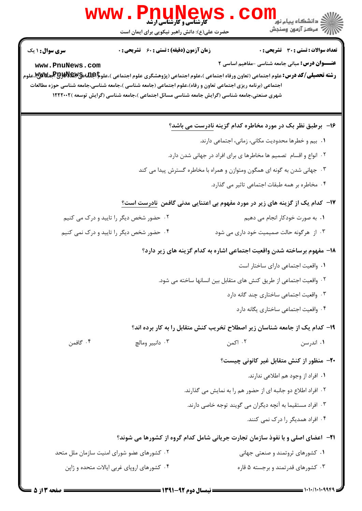| WWW                                                                                                                                                                                                                                                                                       | Phunews<br><b>5 کارشناسی و کارشناسی ارشد</b><br>حضرت علی(ع): دانش راهبر نیکویی برای ایمان است                                                     |                                                                                                                                                                                                              |                                                                                                                                                                | ڪ دانشڪاه پيا <sub>م</sub> نور<br>۾ مرڪز آزمون وسنجش |
|-------------------------------------------------------------------------------------------------------------------------------------------------------------------------------------------------------------------------------------------------------------------------------------------|---------------------------------------------------------------------------------------------------------------------------------------------------|--------------------------------------------------------------------------------------------------------------------------------------------------------------------------------------------------------------|----------------------------------------------------------------------------------------------------------------------------------------------------------------|------------------------------------------------------|
| سری سوال: ۱ یک<br>www.PnuNews.com<br><b>رشته تحصیلی/کد درس:</b> علوم اجتماعی (تعاون ورفاه اجتماعی )،علوم اجتماعی (پژوهشگری علوم اجتماعی )،علو <b>م RBWE و PBپشاهی او</b> م<br>اجتماعی (برنامه ریزی اجتماعی تعاون و رفاه)،علوم اجتماعی (جامعه شناسی )،جامعه شناسی،جامعه شناسی حوزه مطالعات | <b>زمان آزمون (دقیقه) : تستی : 60 ٪ تشریحی : 0</b><br>شهری صنعتی،جامعه شناسی (گرایش جامعه شناسی مسائل اجتماعی )،جامعه شناسی (گرایش توسعه )۱۲۲۲۰۰۲ |                                                                                                                                                                                                              | <b>عنـــوان درس:</b> مبانی جامعه شناسی -مفاهیم اساسی ۲                                                                                                         | تعداد سوالات : تستي : 30 ٪ تشريحي : 0                |
|                                                                                                                                                                                                                                                                                           |                                                                                                                                                   | ۱۶– برطبق نظر بک در مورد مخاطره کدام گزینه نادرست می باشد؟<br>۲. انواع و اقسام تصمیم ها مخاطرها ی برای افراد در جهانی شدن دارد.<br>۰۳ جهانی شدن به گونه ای همگون ومتوازن و همراه با مخاطره گسترش پیدا می کند | ٠١. بيم و خطرها محدوديت مكاني، زماني، اجتماعي دارند.                                                                                                           |                                                      |
|                                                                                                                                                                                                                                                                                           | ۱۷–  کدام یک از گزینه های زیر در مورد مفهوم بی اعتنایی مدنی گافمن  نادرست است؟                                                                    |                                                                                                                                                                                                              | ۰۴ مخاطره بر همه طبقات اجتماعی تاثیر می گذارد.                                                                                                                 |                                                      |
| ۰۲ حضور شخص دیگر را تایید و درک می کنیم<br>۰۴ حضور شخص دیگر را تایید و درک نمی کنیم                                                                                                                                                                                                       |                                                                                                                                                   | ۱۸– مفهوم برساخته شدن واقعیت اجتماعی اشاره به کدام گزینه های زیر دارد؟                                                                                                                                       | ۰۱ به صورت خودکار انجام می دهیم<br>۰۳ از هرگونه حالت صمیمیت خود داری می شود                                                                                    |                                                      |
|                                                                                                                                                                                                                                                                                           |                                                                                                                                                   | ٢. واقعیت اجتماعی از طریق کنش های متقابل بین انسانها ساخته مے شود.                                                                                                                                           | ۰۱ واقعیت اجتماعی دارای ساختار است<br>۰۳ واقعیت اجتماعی ساختاری چند گانه دارد<br>۰۴ واقعیت اجتماعی ساختاری یگانه دارد                                          |                                                      |
| ۰۴ گافمن                                                                                                                                                                                                                                                                                  | ۱۹- کدام یک از جامعه شناسان زیر اصطلاح تخریب کنش متقابل را به کار برده اند؟<br>۰۳ دانيير ومالچ                                                    | ۰۲ اکمن                                                                                                                                                                                                      |                                                                                                                                                                | ۰۱ اندرسن                                            |
| ۰۲ کشورهای عضو شورای امنیت سازمان ملل متحد                                                                                                                                                                                                                                                | <b>31</b> - اعضای اصلی و با نفوذ سازمان تجارت جریانی شامل کدام گروه از کشورها می شوند؟                                                            | ۰۲ افراد اطلاع دو جانبه ای از حضور هم را به نمایش می گذارند.<br>۰۳ افراد مستقیما به آنچه دیگران می گویند توجه خاصی دارند.                                                                                    | <b>۲۰</b> - منظور از کنش متقابل غیر کانونی چیست؟<br>۰۱ افراد از وجود هم اطلاعي ندارند.<br>۰۴ افراد همدیگر را درک نمی کنند.<br>۰۱ کشورهای ثروتمند و صنعتی جهانی |                                                      |
|                                                                                                                                                                                                                                                                                           | ۰۴ کشورهای اروپای غربی ایالات متحده و ژاپن                                                                                                        |                                                                                                                                                                                                              | ۰۳ کشورهای قدرتمند و برجسته ۵ قاره                                                                                                                             |                                                      |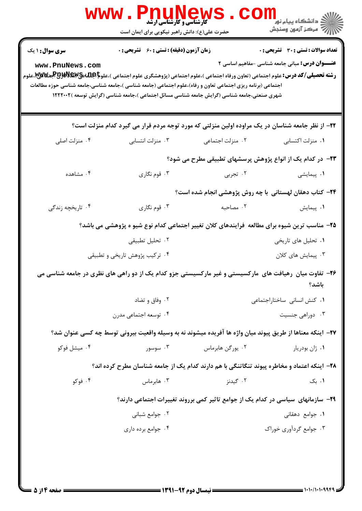| <b>سری سوال :</b> ۱ یک                                                                                                                                                                                                                                                           | زمان آزمون (دقیقه) : تستی : 60 ٪ تشریحی : 0 |                                                                                                           | تعداد سوالات : تستى : 30 قشريحى : 0                    |  |
|----------------------------------------------------------------------------------------------------------------------------------------------------------------------------------------------------------------------------------------------------------------------------------|---------------------------------------------|-----------------------------------------------------------------------------------------------------------|--------------------------------------------------------|--|
| www.PnuNews.com<br><b>رشته تحصیلی/کد درس:</b> علوم اجتماعی (تعاون ورفاه اجتماعی )،علوم اجتماعی (پژوهشگری علوم اجتماعی )،علو <b>م RBWE وRBWE بحت و الله ت</b> ملوم<br>اجتماعی (برنامه ریزی اجتماعی تعاون و رفاه)،علوم اجتماعی (جامعه شناسی )،جامعه شناسی،جامعه شناسی حوزه مطالعات |                                             | شهری صنعتی،جامعه شناسی (گرایش جامعه شناسی مسائل اجتماعی )،جامعه شناسی (گرایش توسعه )۱۲۲۲۰۰۲               | <b>عنـــوان درس:</b> مبانی جامعه شناسی -مفاهیم اساسی ۲ |  |
|                                                                                                                                                                                                                                                                                  |                                             | ۲۲– از نظر جامعه شناسان در یک مراوده اولین منزلتی که مورد توجه مردم قرار می گیرد کدام منزلت است؟          |                                                        |  |
| ۰۴ منزلت اصلی                                                                                                                                                                                                                                                                    | ۰۳ منزلت انتسابی                            | ۰۲ منزلت اجتماعی                                                                                          | ۰۱ منزلت اکتسابی                                       |  |
|                                                                                                                                                                                                                                                                                  |                                             | <b>۲۳</b> - در کدام یک از انواع پژوهش پرسشهای تطبیقی مطرح می شود؟                                         |                                                        |  |
| ۰۴ مشاهده                                                                                                                                                                                                                                                                        | ۰۳ قوم نگاری                                | ۰۲ تجربی                                                                                                  | <b>۱.</b> پیمایشی                                      |  |
|                                                                                                                                                                                                                                                                                  |                                             | ۲۴- کتاب دهقان لهستانی با چه روش پژوهشی انجام شده است؟                                                    |                                                        |  |
| ۰۴ تاریخچه زندگی                                                                                                                                                                                                                                                                 | ۰۳ قوم نگاري                                | ٢. مصاحبه                                                                                                 | ٠١. پيمايش                                             |  |
|                                                                                                                                                                                                                                                                                  |                                             | ۲۵– مناسب ترین شیوه برای مطالعه ًفرایندهای کلان تغییر اجتماعی کدام نوع شیو ه پژوهشی می باشد؟              |                                                        |  |
|                                                                                                                                                                                                                                                                                  | ۰۲ تحلیل تطبیقی                             | ۰۱ تحلیل های تاریخی                                                                                       |                                                        |  |
|                                                                                                                                                                                                                                                                                  | ۰۴ ترکیب پژوهش تاریخی و تطبیقی              | ۰۳ پیمایش های کلان                                                                                        |                                                        |  |
| ۲۶- تفاوت میان رهیافت های مارکسیستی و غیر مارکسیستی جزو کدام یک از دو راهی های نظری در جامعه شناسی می                                                                                                                                                                            |                                             |                                                                                                           | باشد؟                                                  |  |
|                                                                                                                                                                                                                                                                                  | ۰۲ وفاق و تضاد                              | ٠١ كنش انسانى ساختاراجتماعى                                                                               |                                                        |  |
|                                                                                                                                                                                                                                                                                  | ۰۴ توسعه اجتماعی مدرن                       | ۰۳ دوراهي جنسيت                                                                                           |                                                        |  |
|                                                                                                                                                                                                                                                                                  |                                             | ۲۷– اینکه معناها از طریق پیوند میان واژه ها آفریده میشوند نه به وسیله واقعیت بیرونی توسط چه کسی عنوان شد؟ |                                                        |  |
| ۰۴ میشل فوکو                                                                                                                                                                                                                                                                     | ۰۳ سوسور                                    | ۰۲ يورگن هابرماس                                                                                          | ۰۱ ژان بودريار                                         |  |
|                                                                                                                                                                                                                                                                                  |                                             | ۲۸- اینکه اعتماد و مخاطره پیوند تنگاتنگی با هم دارند کدام یک از جامعه شناسان مطرح کرده اند؟               |                                                        |  |
| ۰۴ فوکو                                                                                                                                                                                                                                                                          | ۰۳ هابرماس                                  | ۰۲ گیدنز                                                                                                  | ۰۱. بک                                                 |  |
|                                                                                                                                                                                                                                                                                  |                                             | ۲۹- سازمانهای سیاسی در کدام یک از جوامع تاثیر کمی برروند تغییرات اجتماعی دارند؟                           |                                                        |  |
|                                                                                                                                                                                                                                                                                  | ۰۲ جوامع شباني                              |                                                                                                           | ۰۱ جوامع دهقانی                                        |  |
|                                                                                                                                                                                                                                                                                  | ۰۴ جوامع برده داری                          |                                                                                                           | ۰۳ جوامع گردآوری خوراک                                 |  |